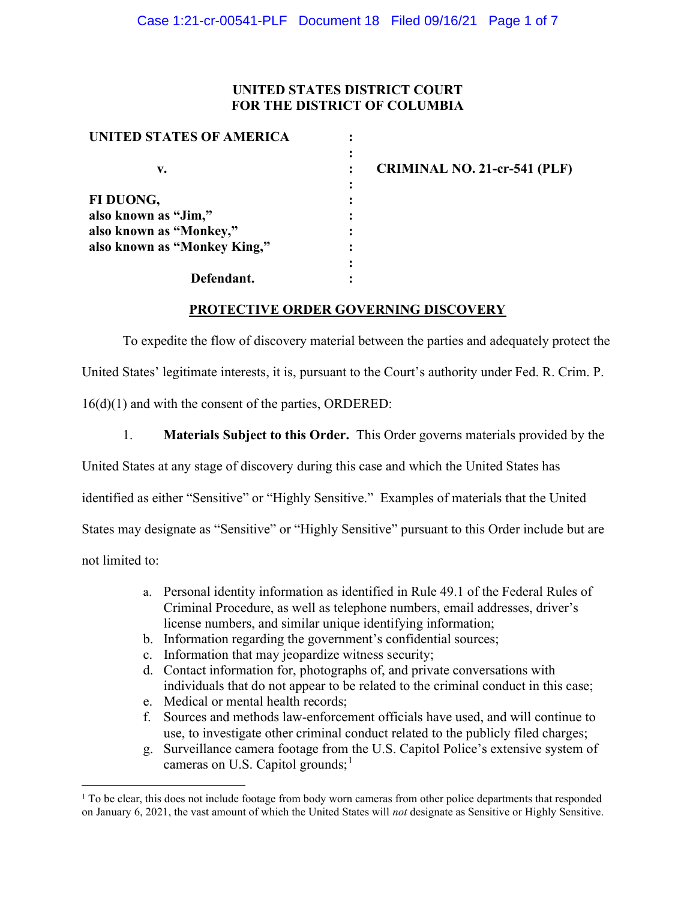## UNITED STATES DISTRICT COURT FOR THE DISTRICT OF COLUMBIA

| <b>UNITED STATES OF AMERICA</b> |           |                                     |
|---------------------------------|-----------|-------------------------------------|
|                                 | $\bullet$ |                                     |
| v.                              |           | <b>CRIMINAL NO. 21-cr-541 (PLF)</b> |
|                                 |           |                                     |
| FI DUONG,                       |           |                                     |
| also known as "Jim,"            |           |                                     |
| also known as "Monkey,"         |           |                                     |
| also known as "Monkey King,"    |           |                                     |
|                                 |           |                                     |
| Defendant.                      |           |                                     |

## PROTECTIVE ORDER GOVERNING DISCOVERY

To expedite the flow of discovery material between the parties and adequately protect the United States' legitimate interests, it is, pursuant to the Court's authority under Fed. R. Crim. P. 16(d)(1) and with the consent of the parties, ORDERED:

1. Materials Subject to this Order. This Order governs materials provided by the

United States at any stage of discovery during this case and which the United States has

identified as either "Sensitive" or "Highly Sensitive." Examples of materials that the United

States may designate as "Sensitive" or "Highly Sensitive" pursuant to this Order include but are

not limited to:

- a. Personal identity information as identified in Rule 49.1 of the Federal Rules of Criminal Procedure, as well as telephone numbers, email addresses, driver's license numbers, and similar unique identifying information;
- b. Information regarding the government's confidential sources;
- c. Information that may jeopardize witness security;
- d. Contact information for, photographs of, and private conversations with individuals that do not appear to be related to the criminal conduct in this case;
- e. Medical or mental health records;
- f. Sources and methods law-enforcement officials have used, and will continue to use, to investigate other criminal conduct related to the publicly filed charges;
- g. Surveillance camera footage from the U.S. Capitol Police's extensive system of cameras on U.S. Capitol grounds;<sup>1</sup>

<sup>&</sup>lt;sup>1</sup> To be clear, this does not include footage from body worn cameras from other police departments that responded on January 6, 2021, the vast amount of which the United States will not designate as Sensitive or Highly Sensitive.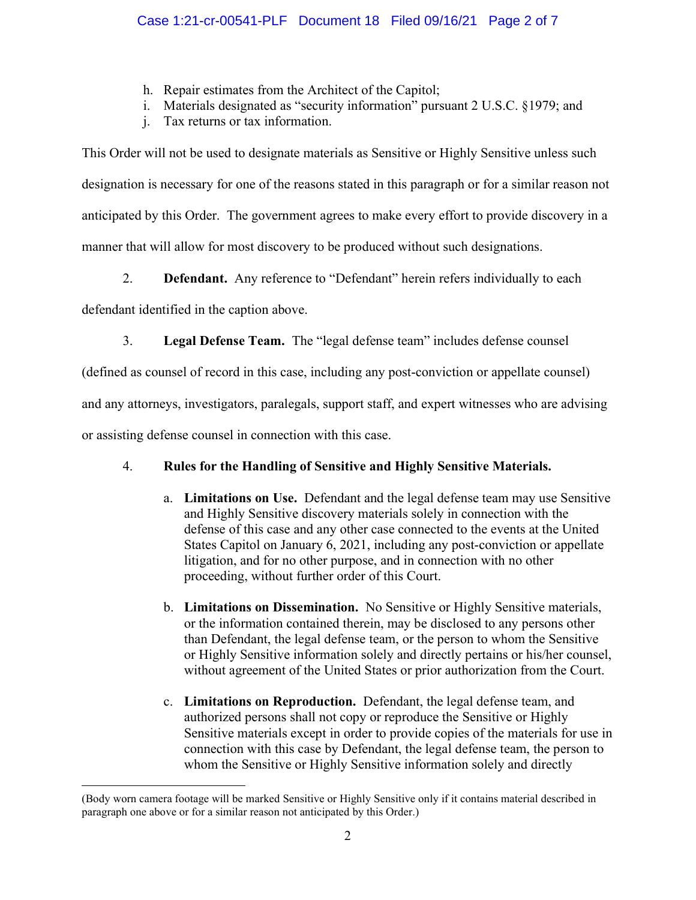- h. Repair estimates from the Architect of the Capitol;
- i. Materials designated as "security information" pursuant 2 U.S.C. §1979; and
- j. Tax returns or tax information.

This Order will not be used to designate materials as Sensitive or Highly Sensitive unless such designation is necessary for one of the reasons stated in this paragraph or for a similar reason not anticipated by this Order. The government agrees to make every effort to provide discovery in a manner that will allow for most discovery to be produced without such designations.

2. **Defendant.** Any reference to "Defendant" herein refers individually to each

defendant identified in the caption above.

3. Legal Defense Team. The "legal defense team" includes defense counsel

(defined as counsel of record in this case, including any post-conviction or appellate counsel)

and any attorneys, investigators, paralegals, support staff, and expert witnesses who are advising

or assisting defense counsel in connection with this case.

# 4. Rules for the Handling of Sensitive and Highly Sensitive Materials.

- a. Limitations on Use. Defendant and the legal defense team may use Sensitive and Highly Sensitive discovery materials solely in connection with the defense of this case and any other case connected to the events at the United States Capitol on January 6, 2021, including any post-conviction or appellate litigation, and for no other purpose, and in connection with no other proceeding, without further order of this Court.
- b. Limitations on Dissemination. No Sensitive or Highly Sensitive materials, or the information contained therein, may be disclosed to any persons other than Defendant, the legal defense team, or the person to whom the Sensitive or Highly Sensitive information solely and directly pertains or his/her counsel, without agreement of the United States or prior authorization from the Court.
- c. Limitations on Reproduction. Defendant, the legal defense team, and authorized persons shall not copy or reproduce the Sensitive or Highly Sensitive materials except in order to provide copies of the materials for use in connection with this case by Defendant, the legal defense team, the person to whom the Sensitive or Highly Sensitive information solely and directly

<sup>(</sup>Body worn camera footage will be marked Sensitive or Highly Sensitive only if it contains material described in paragraph one above or for a similar reason not anticipated by this Order.)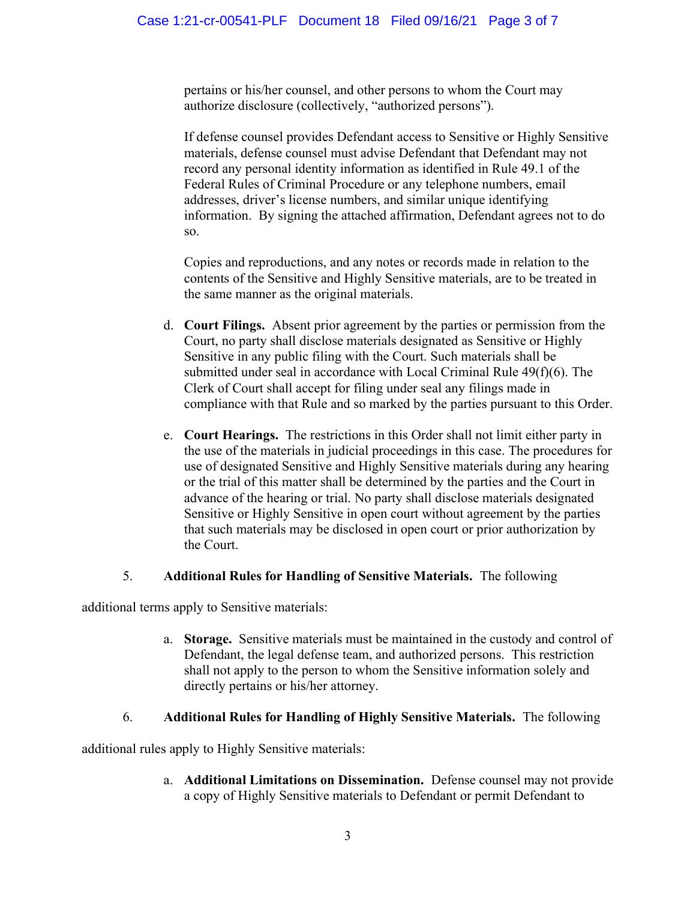pertains or his/her counsel, and other persons to whom the Court may authorize disclosure (collectively, "authorized persons").

If defense counsel provides Defendant access to Sensitive or Highly Sensitive materials, defense counsel must advise Defendant that Defendant may not record any personal identity information as identified in Rule 49.1 of the Federal Rules of Criminal Procedure or any telephone numbers, email addresses, driver's license numbers, and similar unique identifying information. By signing the attached affirmation, Defendant agrees not to do so.

Copies and reproductions, and any notes or records made in relation to the contents of the Sensitive and Highly Sensitive materials, are to be treated in the same manner as the original materials.

- d. Court Filings. Absent prior agreement by the parties or permission from the Court, no party shall disclose materials designated as Sensitive or Highly Sensitive in any public filing with the Court. Such materials shall be submitted under seal in accordance with Local Criminal Rule 49(f)(6). The Clerk of Court shall accept for filing under seal any filings made in compliance with that Rule and so marked by the parties pursuant to this Order.
- e. Court Hearings. The restrictions in this Order shall not limit either party in the use of the materials in judicial proceedings in this case. The procedures for use of designated Sensitive and Highly Sensitive materials during any hearing or the trial of this matter shall be determined by the parties and the Court in advance of the hearing or trial. No party shall disclose materials designated Sensitive or Highly Sensitive in open court without agreement by the parties that such materials may be disclosed in open court or prior authorization by the Court.

## 5. Additional Rules for Handling of Sensitive Materials. The following

additional terms apply to Sensitive materials:

a. Storage. Sensitive materials must be maintained in the custody and control of Defendant, the legal defense team, and authorized persons. This restriction shall not apply to the person to whom the Sensitive information solely and directly pertains or his/her attorney.

## 6. Additional Rules for Handling of Highly Sensitive Materials. The following

additional rules apply to Highly Sensitive materials:

a. Additional Limitations on Dissemination. Defense counsel may not provide a copy of Highly Sensitive materials to Defendant or permit Defendant to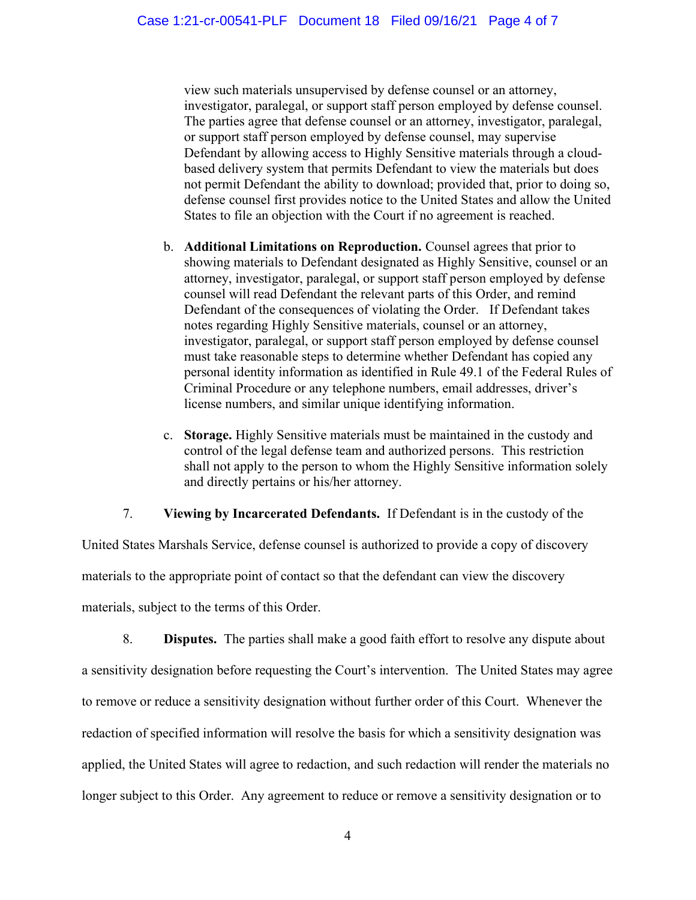view such materials unsupervised by defense counsel or an attorney, investigator, paralegal, or support staff person employed by defense counsel. The parties agree that defense counsel or an attorney, investigator, paralegal, or support staff person employed by defense counsel, may supervise Defendant by allowing access to Highly Sensitive materials through a cloudbased delivery system that permits Defendant to view the materials but does not permit Defendant the ability to download; provided that, prior to doing so, defense counsel first provides notice to the United States and allow the United States to file an objection with the Court if no agreement is reached.

- b. Additional Limitations on Reproduction. Counsel agrees that prior to showing materials to Defendant designated as Highly Sensitive, counsel or an attorney, investigator, paralegal, or support staff person employed by defense counsel will read Defendant the relevant parts of this Order, and remind Defendant of the consequences of violating the Order. If Defendant takes notes regarding Highly Sensitive materials, counsel or an attorney, investigator, paralegal, or support staff person employed by defense counsel must take reasonable steps to determine whether Defendant has copied any personal identity information as identified in Rule 49.1 of the Federal Rules of Criminal Procedure or any telephone numbers, email addresses, driver's license numbers, and similar unique identifying information.
- c. Storage. Highly Sensitive materials must be maintained in the custody and control of the legal defense team and authorized persons. This restriction shall not apply to the person to whom the Highly Sensitive information solely and directly pertains or his/her attorney.

## 7. Viewing by Incarcerated Defendants. If Defendant is in the custody of the

United States Marshals Service, defense counsel is authorized to provide a copy of discovery materials to the appropriate point of contact so that the defendant can view the discovery materials, subject to the terms of this Order.

8. Disputes. The parties shall make a good faith effort to resolve any dispute about a sensitivity designation before requesting the Court's intervention. The United States may agree to remove or reduce a sensitivity designation without further order of this Court. Whenever the redaction of specified information will resolve the basis for which a sensitivity designation was applied, the United States will agree to redaction, and such redaction will render the materials no longer subject to this Order. Any agreement to reduce or remove a sensitivity designation or to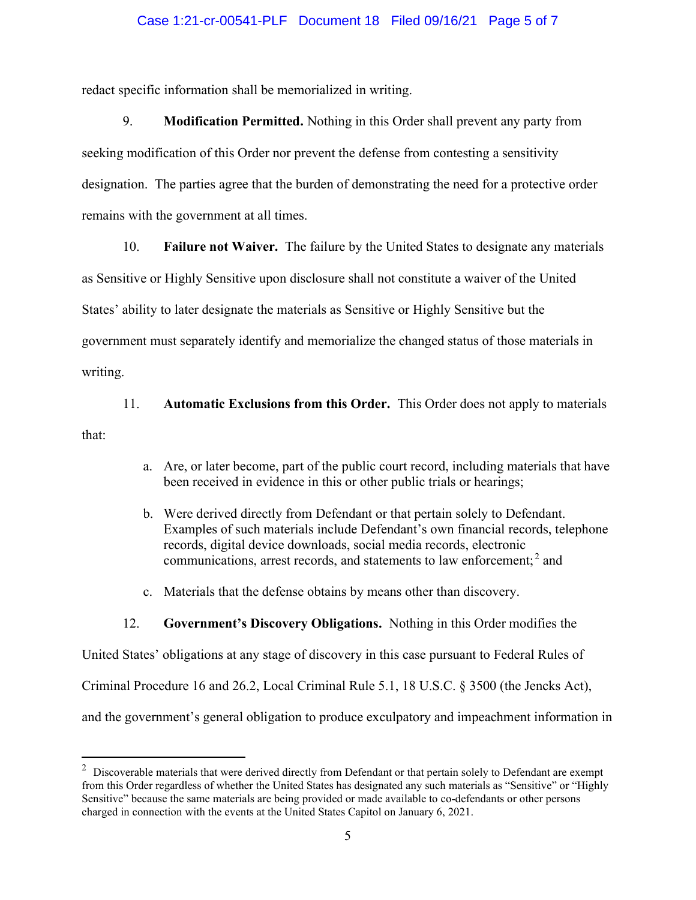#### Case 1:21-cr-00541-PLF Document 18 Filed 09/16/21 Page 5 of 7

redact specific information shall be memorialized in writing.

9. Modification Permitted. Nothing in this Order shall prevent any party from seeking modification of this Order nor prevent the defense from contesting a sensitivity designation. The parties agree that the burden of demonstrating the need for a protective order remains with the government at all times.

10. Failure not Waiver. The failure by the United States to designate any materials

as Sensitive or Highly Sensitive upon disclosure shall not constitute a waiver of the United States' ability to later designate the materials as Sensitive or Highly Sensitive but the government must separately identify and memorialize the changed status of those materials in

writing.

11. Automatic Exclusions from this Order. This Order does not apply to materials

that:

- a. Are, or later become, part of the public court record, including materials that have been received in evidence in this or other public trials or hearings;
- b. Were derived directly from Defendant or that pertain solely to Defendant. Examples of such materials include Defendant's own financial records, telephone records, digital device downloads, social media records, electronic communications, arrest records, and statements to law enforcement; $<sup>2</sup>$  and</sup>
- c. Materials that the defense obtains by means other than discovery.

#### 12. Government's Discovery Obligations. Nothing in this Order modifies the

United States' obligations at any stage of discovery in this case pursuant to Federal Rules of Criminal Procedure 16 and 26.2, Local Criminal Rule 5.1, 18 U.S.C. § 3500 (the Jencks Act), and the government's general obligation to produce exculpatory and impeachment information in

 $2$  Discoverable materials that were derived directly from Defendant or that pertain solely to Defendant are exempt from this Order regardless of whether the United States has designated any such materials as "Sensitive" or "Highly Sensitive" because the same materials are being provided or made available to co-defendants or other persons charged in connection with the events at the United States Capitol on January 6, 2021.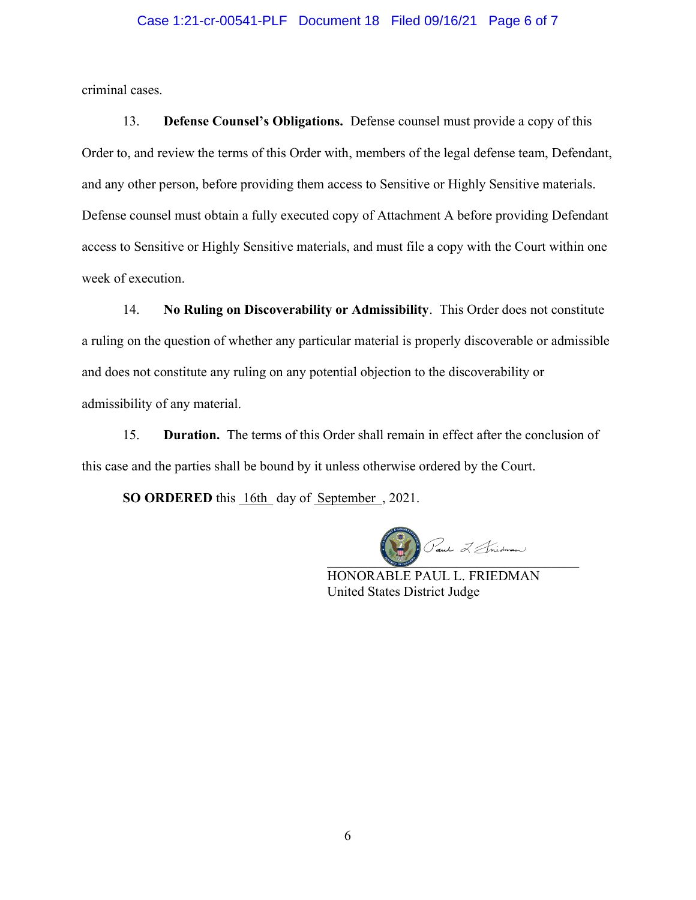#### Case 1:21-cr-00541-PLF Document 18 Filed 09/16/21 Page 6 of 7

criminal cases.

13. Defense Counsel's Obligations. Defense counsel must provide a copy of this Order to, and review the terms of this Order with, members of the legal defense team, Defendant, and any other person, before providing them access to Sensitive or Highly Sensitive materials. Defense counsel must obtain a fully executed copy of Attachment A before providing Defendant access to Sensitive or Highly Sensitive materials, and must file a copy with the Court within one week of execution.

14. No Ruling on Discoverability or Admissibility. This Order does not constitute a ruling on the question of whether any particular material is properly discoverable or admissible and does not constitute any ruling on any potential objection to the discoverability or admissibility of any material.

15. Duration. The terms of this Order shall remain in effect after the conclusion of this case and the parties shall be bound by it unless otherwise ordered by the Court.

SO ORDERED this 16th day of September, 2021.

 $\boxed{\text{Caut}} \ \ \text{min} \ \ \text{min}$ 

HONORABLE PAUL L. FRIEDMAN United States District Judge